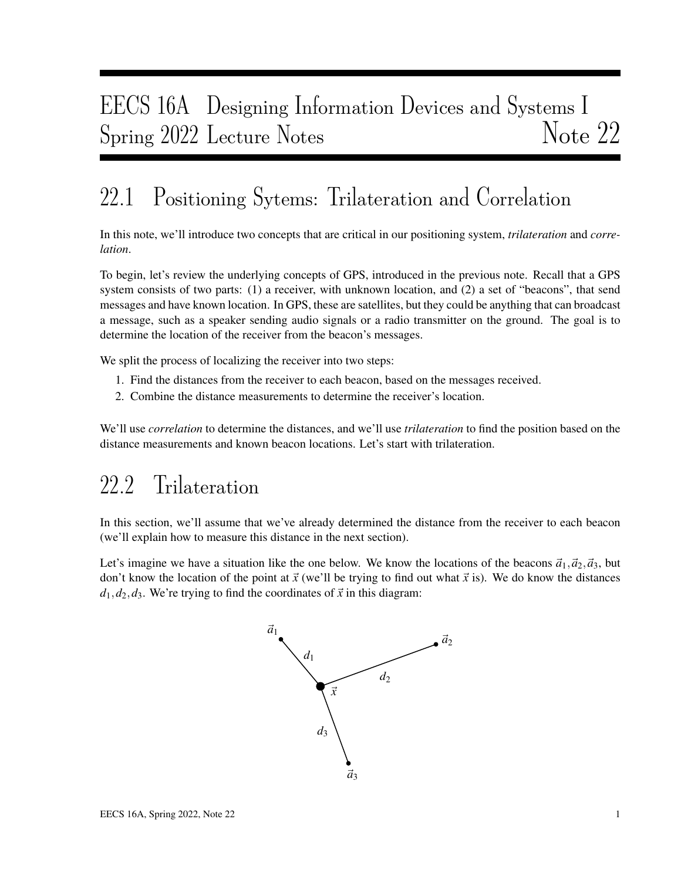# EECS 16A Designing Information Devices and Systems I Spring 2022 Lecture Notes Note 22

# 22.1 Positioning Sytems: Trilateration and Correlation

In this note, we'll introduce two concepts that are critical in our positioning system, *trilateration* and *correlation*.

To begin, let's review the underlying concepts of GPS, introduced in the previous note. Recall that a GPS system consists of two parts: (1) a receiver, with unknown location, and (2) a set of "beacons", that send messages and have known location. In GPS, these are satellites, but they could be anything that can broadcast a message, such as a speaker sending audio signals or a radio transmitter on the ground. The goal is to determine the location of the receiver from the beacon's messages.

We split the process of localizing the receiver into two steps:

- 1. Find the distances from the receiver to each beacon, based on the messages received.
- 2. Combine the distance measurements to determine the receiver's location.

We'll use *correlation* to determine the distances, and we'll use *trilateration* to find the position based on the distance measurements and known beacon locations. Let's start with trilateration.

## 22.2 Trilateration

In this section, we'll assume that we've already determined the distance from the receiver to each beacon (we'll explain how to measure this distance in the next section).

Let's imagine we have a situation like the one below. We know the locations of the beacons  $\vec{a}_1$ ,  $\vec{a}_2$ ,  $\vec{a}_3$ , but don't know the location of the point at  $\vec{x}$  (we'll be trying to find out what  $\vec{x}$  is). We do know the distances  $d_1, d_2, d_3$ . We're trying to find the coordinates of  $\vec{x}$  in this diagram:

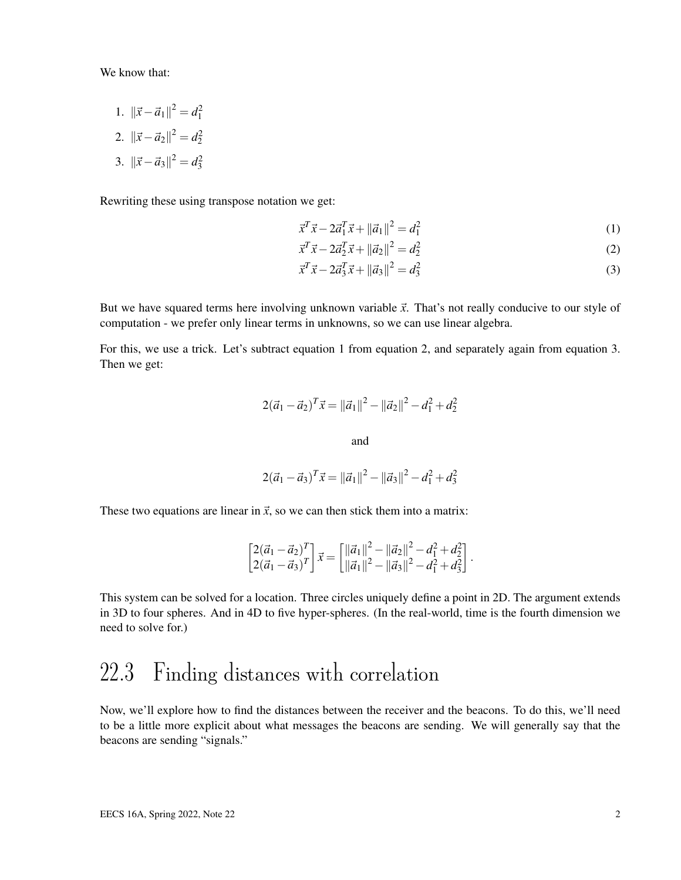We know that:

- 1.  $\|\vec{x} \vec{a}_1\|^2 = d_1^2$
- 2.  $\|\vec{x} \vec{a}_2\|^2 = d_2^2$
- 3.  $\|\vec{x} \vec{a}_3\|^2 = d_3^2$

Rewriting these using transpose notation we get:

$$
\vec{x}^T \vec{x} - 2\vec{a}_1^T \vec{x} + ||\vec{a}_1||^2 = d_1^2
$$
\n(1)

$$
\vec{x}^T \vec{x} - 2\vec{a}_2^T \vec{x} + ||\vec{a}_2||^2 = d_2^2
$$
 (2)

$$
\vec{x}^T \vec{x} - 2\vec{a}_3^T \vec{x} + ||\vec{a}_3||^2 = d_3^2
$$
\n(3)

But we have squared terms here involving unknown variable  $\vec{x}$ . That's not really conducive to our style of computation - we prefer only linear terms in unknowns, so we can use linear algebra.

For this, we use a trick. Let's subtract equation 1 from equation 2, and separately again from equation 3. Then we get:

$$
2(\vec{a}_1 - \vec{a}_2)^T \vec{x} = ||\vec{a}_1||^2 - ||\vec{a}_2||^2 - d_1^2 + d_2^2
$$

and

$$
2(\vec{a}_1 - \vec{a}_3)^T \vec{x} = ||\vec{a}_1||^2 - ||\vec{a}_3||^2 - d_1^2 + d_3^2
$$

These two equations are linear in  $\vec{x}$ , so we can then stick them into a matrix:

$$
\begin{bmatrix} 2(\vec{a}_1 - \vec{a}_2)^T \\ 2(\vec{a}_1 - \vec{a}_3)^T \end{bmatrix} \vec{x} = \begin{bmatrix} ||\vec{a}_1||^2 - ||\vec{a}_2||^2 - d_1^2 + d_2^2 \\ ||\vec{a}_1||^2 - ||\vec{a}_3||^2 - d_1^2 + d_3^2 \end{bmatrix}.
$$

This system can be solved for a location. Three circles uniquely define a point in 2D. The argument extends in 3D to four spheres. And in 4D to five hyper-spheres. (In the real-world, time is the fourth dimension we need to solve for.)

### 22.3 Finding distances with correlation

Now, we'll explore how to find the distances between the receiver and the beacons. To do this, we'll need to be a little more explicit about what messages the beacons are sending. We will generally say that the beacons are sending "signals."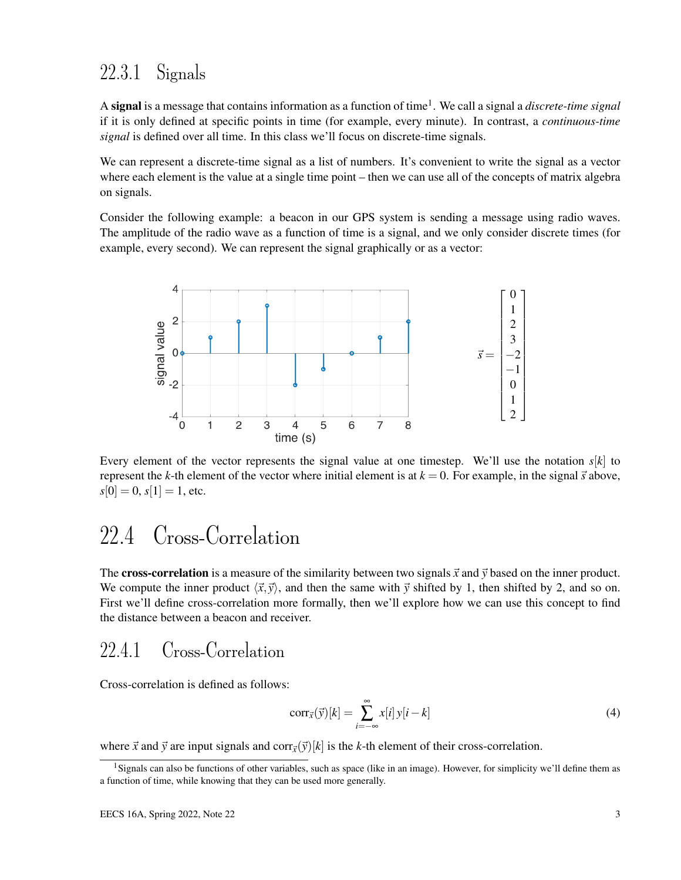#### 22.3.1 Signals

A signal is a message that contains information as a function of time<sup>1</sup> . We call a signal a *discrete-time signal* if it is only defined at specific points in time (for example, every minute). In contrast, a *continuous-time signal* is defined over all time. In this class we'll focus on discrete-time signals.

We can represent a discrete-time signal as a list of numbers. It's convenient to write the signal as a vector where each element is the value at a single time point – then we can use all of the concepts of matrix algebra on signals.

Consider the following example: a beacon in our GPS system is sending a message using radio waves. The amplitude of the radio wave as a function of time is a signal, and we only consider discrete times (for example, every second). We can represent the signal graphically or as a vector:



Every element of the vector represents the signal value at one timestep. We'll use the notation  $s[k]$  to represent the *k*-th element of the vector where initial element is at  $k = 0$ . For example, in the signal  $\vec{s}$  above,  $s[0] = 0, s[1] = 1$ , etc.

## 22.4 Cross-Correlation

The **cross-correlation** is a measure of the similarity between two signals  $\vec{x}$  and  $\vec{y}$  based on the inner product. We compute the inner product  $\langle \vec{x}, \vec{y} \rangle$ , and then the same with  $\vec{y}$  shifted by 1, then shifted by 2, and so on. First we'll define cross-correlation more formally, then we'll explore how we can use this concept to find the distance between a beacon and receiver.

#### 22.4.1 Cross-Correlation

Cross-correlation is defined as follows:

$$
corr_{\vec{x}}(\vec{y})[k] = \sum_{i=-\infty}^{\infty} x[i] y[i-k]
$$
\n(4)

where  $\vec{x}$  and  $\vec{y}$  are input signals and corr $\vec{x}(\vec{y})[k]$  is the *k*-th element of their cross-correlation.

<sup>&</sup>lt;sup>1</sup>Signals can also be functions of other variables, such as space (like in an image). However, for simplicity we'll define them as a function of time, while knowing that they can be used more generally.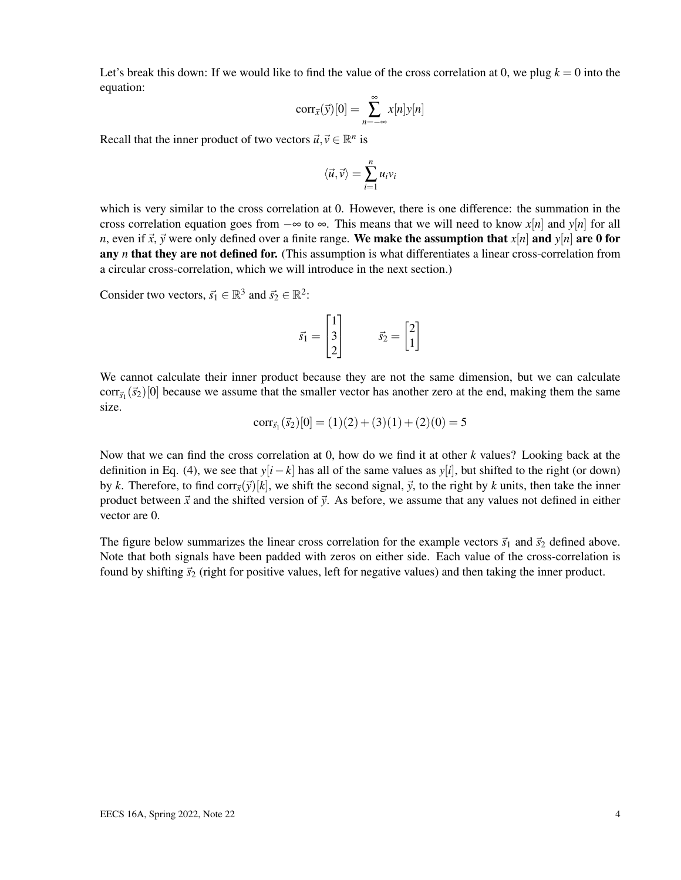Let's break this down: If we would like to find the value of the cross correlation at 0, we plug  $k = 0$  into the equation:

$$
corr_{\vec{x}}(\vec{y})[0] = \sum_{n=-\infty}^{\infty} x[n]y[n]
$$

Recall that the inner product of two vectors  $\vec{u}, \vec{v} \in \mathbb{R}^n$  is

$$
\langle \vec{u}, \vec{v} \rangle = \sum_{i=1}^n u_i v_i
$$

which is very similar to the cross correlation at 0. However, there is one difference: the summation in the cross correlation equation goes from  $-\infty$  to  $\infty$ . This means that we will need to know *x*[*n*] and *y*[*n*] for all *n*, even if  $\vec{x}$ ,  $\vec{y}$  were only defined over a finite range. We make the assumption that  $x[n]$  and  $y[n]$  are 0 for any *n* that they are not defined for. (This assumption is what differentiates a linear cross-correlation from a circular cross-correlation, which we will introduce in the next section.)

Consider two vectors,  $\vec{s_1} \in \mathbb{R}^3$  and  $\vec{s_2} \in \mathbb{R}^2$ :

$$
\vec{s_1} = \begin{bmatrix} 1 \\ 3 \\ 2 \end{bmatrix} \qquad \vec{s_2} = \begin{bmatrix} 2 \\ 1 \end{bmatrix}
$$

We cannot calculate their inner product because they are not the same dimension, but we can calculate  $\text{corr}_{\vec{s}_1}(\vec{s}_2)[0]$  because we assume that the smaller vector has another zero at the end, making them the same size.

$$
corr_{\vec{s}_1}(\vec{s}_2)[0] = (1)(2) + (3)(1) + (2)(0) = 5
$$

Now that we can find the cross correlation at 0, how do we find it at other *k* values? Looking back at the definition in Eq. (4), we see that  $y[i-k]$  has all of the same values as  $y[i]$ , but shifted to the right (or down) by *k*. Therefore, to find corr $\vec{v}$ ( $\vec{v}$ )[*k*], we shift the second signal,  $\vec{v}$ , to the right by *k* units, then take the inner product between  $\vec{x}$  and the shifted version of  $\vec{y}$ . As before, we assume that any values not defined in either vector are 0.

The figure below summarizes the linear cross correlation for the example vectors  $\vec{s}_1$  and  $\vec{s}_2$  defined above. Note that both signals have been padded with zeros on either side. Each value of the cross-correlation is found by shifting  $\vec{s}_2$  (right for positive values, left for negative values) and then taking the inner product.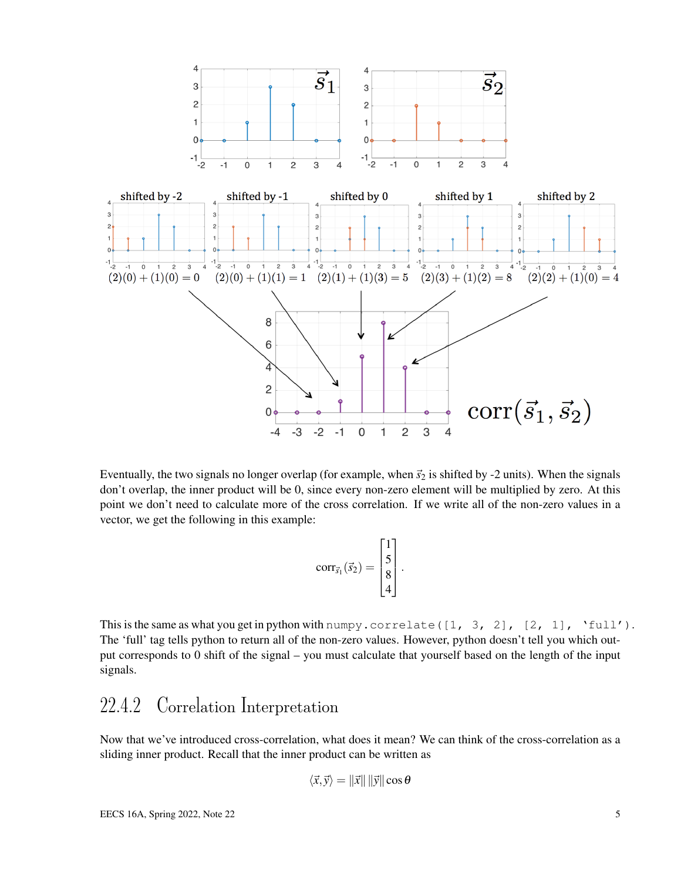

Eventually, the two signals no longer overlap (for example, when  $\vec{s}_2$  is shifted by -2 units). When the signals don't overlap, the inner product will be 0, since every non-zero element will be multiplied by zero. At this point we don't need to calculate more of the cross correlation. If we write all of the non-zero values in a vector, we get the following in this example:

$$
corr_{\vec{s}_1}(\vec{s}_2) = \begin{bmatrix} 1 \\ 5 \\ 8 \\ 4 \end{bmatrix}.
$$

This is the same as what you get in python with numpy.correlate( $[1, 3, 2]$ ,  $[2, 1]$ , 'full'). The 'full' tag tells python to return all of the non-zero values. However, python doesn't tell you which output corresponds to 0 shift of the signal – you must calculate that yourself based on the length of the input signals.

#### 22.4.2 Correlation Interpretation

Now that we've introduced cross-correlation, what does it mean? We can think of the cross-correlation as a sliding inner product. Recall that the inner product can be written as

$$
\langle \vec{x}, \vec{y} \rangle = ||\vec{x}|| \, ||\vec{y}|| \cos \theta
$$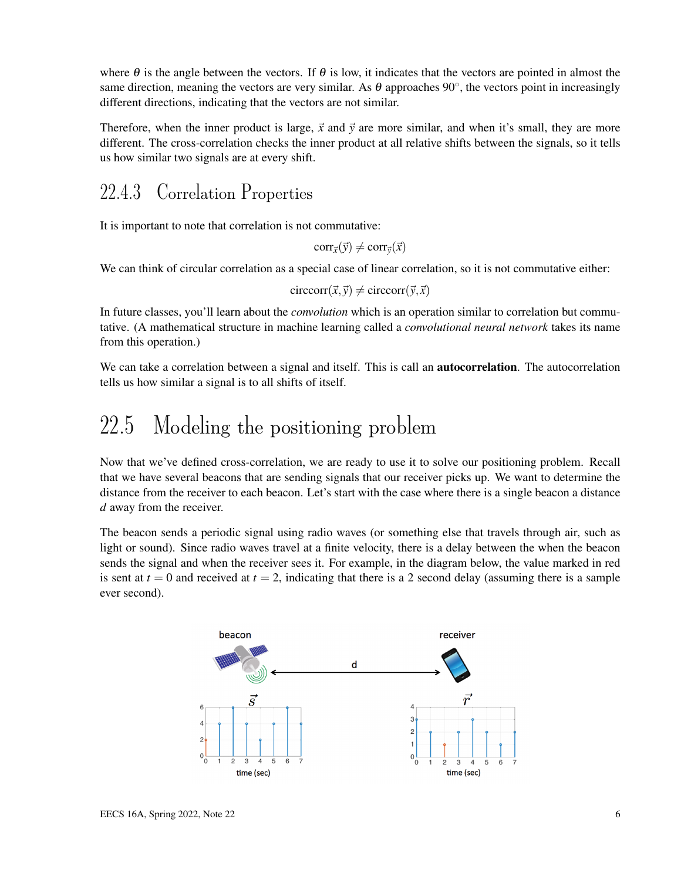where  $\theta$  is the angle between the vectors. If  $\theta$  is low, it indicates that the vectors are pointed in almost the same direction, meaning the vectors are very similar. As  $\theta$  approaches 90°, the vectors point in increasingly different directions, indicating that the vectors are not similar.

Therefore, when the inner product is large,  $\vec{x}$  and  $\vec{y}$  are more similar, and when it's small, they are more different. The cross-correlation checks the inner product at all relative shifts between the signals, so it tells us how similar two signals are at every shift.

#### 22.4.3 Correlation Properties

It is important to note that correlation is not commutative:

 $corr_{\vec{x}}(\vec{y}) \neq corr_{\vec{y}}(\vec{x})$ 

We can think of circular correlation as a special case of linear correlation, so it is not commutative either:

 $circor(\vec{x}, \vec{y}) \neq circcor(\vec{y}, \vec{x})$ 

In future classes, you'll learn about the *convolution* which is an operation similar to correlation but commutative. (A mathematical structure in machine learning called a *convolutional neural network* takes its name from this operation.)

We can take a correlation between a signal and itself. This is call an **autocorrelation**. The autocorrelation tells us how similar a signal is to all shifts of itself.

### 22.5 Modeling the positioning problem

Now that we've defined cross-correlation, we are ready to use it to solve our positioning problem. Recall that we have several beacons that are sending signals that our receiver picks up. We want to determine the distance from the receiver to each beacon. Let's start with the case where there is a single beacon a distance *d* away from the receiver.

The beacon sends a periodic signal using radio waves (or something else that travels through air, such as light or sound). Since radio waves travel at a finite velocity, there is a delay between the when the beacon sends the signal and when the receiver sees it. For example, in the diagram below, the value marked in red is sent at  $t = 0$  and received at  $t = 2$ , indicating that there is a 2 second delay (assuming there is a sample ever second).

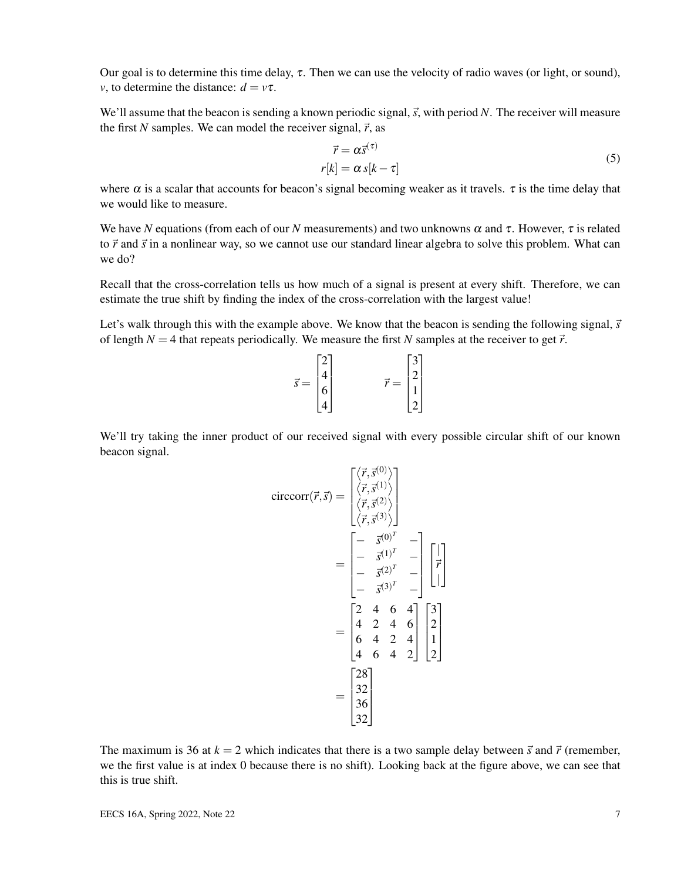Our goal is to determine this time delay,  $\tau$ . Then we can use the velocity of radio waves (or light, or sound), *v*, to determine the distance:  $d = v\tau$ .

We'll assume that the beacon is sending a known periodic signal,  $\vec{s}$ , with period N. The receiver will measure the first *N* samples. We can model the receiver signal,  $\vec{r}$ , as

$$
\vec{r} = \alpha \vec{s}^{(\tau)} \n r[k] = \alpha s[k - \tau]
$$
\n(5)

where  $\alpha$  is a scalar that accounts for beacon's signal becoming weaker as it travels.  $\tau$  is the time delay that we would like to measure.

We have *N* equations (from each of our *N* measurements) and two unknowns  $\alpha$  and  $\tau$ . However,  $\tau$  is related to  $\vec{r}$  and  $\vec{s}$  in a nonlinear way, so we cannot use our standard linear algebra to solve this problem. What can we do?

Recall that the cross-correlation tells us how much of a signal is present at every shift. Therefore, we can estimate the true shift by finding the index of the cross-correlation with the largest value!

Let's walk through this with the example above. We know that the beacon is sending the following signal,  $\vec{s}$ of length  $N = 4$  that repeats periodically. We measure the first N samples at the receiver to get  $\vec{r}$ .

$$
\vec{s} = \begin{bmatrix} 2 \\ 4 \\ 6 \\ 4 \end{bmatrix} \qquad \qquad \vec{r} = \begin{bmatrix} 3 \\ 2 \\ 1 \\ 2 \end{bmatrix}
$$

We'll try taking the inner product of our received signal with every possible circular shift of our known beacon signal.

$$
circcorr(\vec{r}, \vec{s}) = \begin{bmatrix} \langle \vec{r}, \vec{s}^{(0)} \rangle \\ \langle \vec{r}, \vec{s}^{(1)} \rangle \\ \langle \vec{r}, \vec{s}^{(2)} \rangle \\ \langle \vec{r}, \vec{s}^{(3)} \rangle \end{bmatrix}
$$
  
= 
$$
\begin{bmatrix} - & \vec{s}^{(0)^{T}} & - \\ - & \vec{s}^{(1)^{T}} & - \\ - & \vec{s}^{(2)^{T}} & - \\ - & \vec{s}^{(3)^{T}} & - \end{bmatrix} \begin{bmatrix} | \\ \vec{r} \\ | \\ 1 \end{bmatrix}
$$
  
= 
$$
\begin{bmatrix} 2 & 4 & 6 & 4 \\ 4 & 2 & 4 & 6 \\ 6 & 4 & 2 & 4 \\ 4 & 6 & 4 & 2 \end{bmatrix} \begin{bmatrix} 3 \\ 2 \\ 1 \\ 2 \end{bmatrix}
$$
  
= 
$$
\begin{bmatrix} 28 \\ 32 \\ 36 \\ 32 \end{bmatrix}
$$

The maximum is 36 at  $k = 2$  which indicates that there is a two sample delay between  $\vec{s}$  and  $\vec{r}$  (remember, we the first value is at index 0 because there is no shift). Looking back at the figure above, we can see that this is true shift.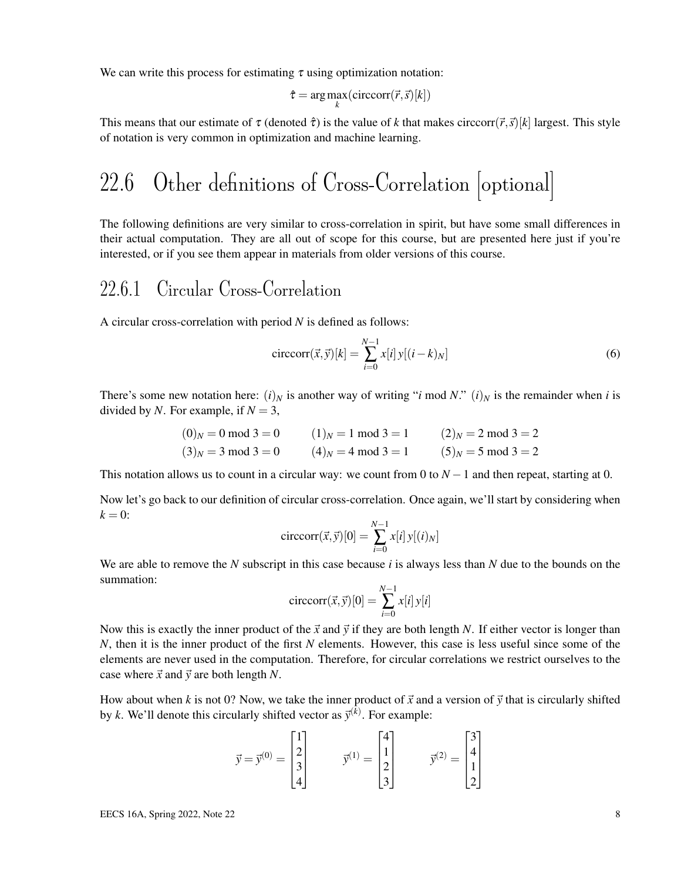We can write this process for estimating  $\tau$  using optimization notation:

$$
\hat{\tau} = \arg\max_{k}(\text{circcorr}(\vec{r}, \vec{s})[k])
$$

This means that our estimate of  $\tau$  (denoted  $\hat{\tau}$ ) is the value of *k* that makes circcorr( $\vec{r}, \vec{s}$ )[*k*] largest. This style of notation is very common in optimization and machine learning.

# 22.6 Other definitions of Cross-Correlation [optional]

The following definitions are very similar to cross-correlation in spirit, but have some small differences in their actual computation. They are all out of scope for this course, but are presented here just if you're interested, or if you see them appear in materials from older versions of this course.

#### 22.6.1 Circular Cross-Correlation

A circular cross-correlation with period *N* is defined as follows:

$$
\text{circcorr}(\vec{x}, \vec{y})[k] = \sum_{i=0}^{N-1} x[i] y[(i-k)_N]
$$
(6)

There's some new notation here:  $(i)_N$  is another way of writing "*i* mod *N*."  $(i)_N$  is the remainder when *i* is divided by *N*. For example, if  $N = 3$ ,

$$
(0)_N = 0 \text{ mod } 3 = 0
$$
  
\n
$$
(3)_N = 3 \text{ mod } 3 = 0
$$
  
\n
$$
(1)_N = 1 \text{ mod } 3 = 1
$$
  
\n
$$
(2)_N = 2 \text{ mod } 3 = 2
$$
  
\n
$$
(3)_N = 3 \text{ mod } 3 = 0
$$
  
\n
$$
(4)_N = 4 \text{ mod } 3 = 1
$$
  
\n
$$
(5)_N = 5 \text{ mod } 3 = 2
$$

This notation allows us to count in a circular way: we count from 0 to  $N-1$  and then repeat, starting at 0.

Now let's go back to our definition of circular cross-correlation. Once again, we'll start by considering when  $k = 0$ :

$$
\operatorname{circcorr}(\vec{x}, \vec{y})[0] = \sum_{i=0}^{N-1} x[i] y[(i)_N]
$$

We are able to remove the *N* subscript in this case because *i* is always less than *N* due to the bounds on the summation:

$$
\text{circcorr}(\vec{x}, \vec{y})[0] = \sum_{i=0}^{N-1} x[i] y[i]
$$

Now this is exactly the inner product of the  $\vec{x}$  and  $\vec{y}$  if they are both length *N*. If either vector is longer than *N*, then it is the inner product of the first *N* elements. However, this case is less useful since some of the elements are never used in the computation. Therefore, for circular correlations we restrict ourselves to the case where  $\vec{x}$  and  $\vec{y}$  are both length *N*.

How about when *k* is not 0? Now, we take the inner product of  $\vec{x}$  and a version of  $\vec{y}$  that is circularly shifted by *k*. We'll denote this circularly shifted vector as  $\vec{y}^{(k)}$ . For example:

$$
\vec{y} = \vec{y}^{(0)} = \begin{bmatrix} 1 \\ 2 \\ 3 \\ 4 \end{bmatrix} \qquad \quad \vec{y}^{(1)} = \begin{bmatrix} 4 \\ 1 \\ 2 \\ 3 \end{bmatrix} \qquad \quad \vec{y}^{(2)} = \begin{bmatrix} 3 \\ 4 \\ 1 \\ 2 \end{bmatrix}
$$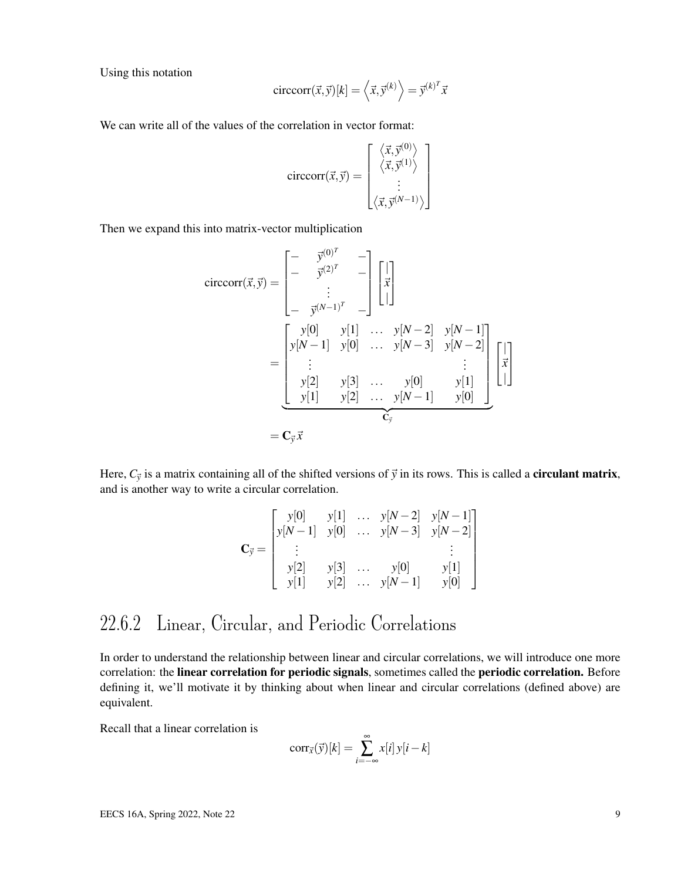Using this notation

$$
\text{circcorr}(\vec{x}, \vec{y})[k] = \langle \vec{x}, \vec{y}^{(k)} \rangle = \vec{y}^{(k)^T} \vec{x}
$$

We can write all of the values of the correlation in vector format:

$$
circcorr(\vec{x}, \vec{y}) = \begin{bmatrix} \langle \vec{x}, \vec{y}^{(0)} \rangle \\ \langle \vec{x}, \vec{y}^{(1)} \rangle \\ \vdots \\ \langle \vec{x}, \vec{y}^{(N-1)} \rangle \end{bmatrix}
$$

Then we expand this into matrix-vector multiplication

$$
circcorr(\vec{x}, \vec{y}) = \begin{bmatrix} - & \vec{y}^{(0)^{T}} & - \\ - & \vec{y}^{(2)^{T}} & - \\ \cdot & \cdot & \cdot \\ - & \vec{y}^{(N-1)^{T}} & - \end{bmatrix} \begin{bmatrix} | \\ \vec{x} \\ | \end{bmatrix}
$$
  
\n
$$
= \begin{bmatrix} y[0] & y[1] & \cdots & y[N-2] & y[N-1] \\ y[N-1] & y[0] & \cdots & y[N-3] & y[N-2] \\ \vdots & & & \vdots \\ y[2] & y[3] & \cdots & y[0] & y[1] \\ y[1] & y[2] & \cdots & y[N-1] & y[0] \end{bmatrix} \begin{bmatrix} | \\ \vec{x} \\ | \end{bmatrix}
$$
  
\n
$$
= \mathbf{C}_{\vec{y}} \vec{x}
$$

Here,  $C_{\vec{y}}$  is a matrix containing all of the shifted versions of  $\vec{y}$  in its rows. This is called a **circulant matrix**, and is another way to write a circular correlation.

$$
\mathbf{C}_{\vec{y}} = \begin{bmatrix} y[0] & y[1] & \dots & y[N-2] & y[N-1] \\ y[N-1] & y[0] & \dots & y[N-3] & y[N-2] \\ \vdots & & & & \vdots \\ y[2] & y[3] & \dots & y[0] & y[1] \\ y[1] & y[2] & \dots & y[N-1] & y[0] \end{bmatrix}
$$

#### 22.6.2 Linear, Circular, and Periodic Correlations

In order to understand the relationship between linear and circular correlations, we will introduce one more correlation: the linear correlation for periodic signals, sometimes called the periodic correlation. Before defining it, we'll motivate it by thinking about when linear and circular correlations (defined above) are equivalent.

Recall that a linear correlation is

$$
corr_{\vec{x}}(\vec{y})[k] = \sum_{i=-\infty}^{\infty} x[i] y[i-k]
$$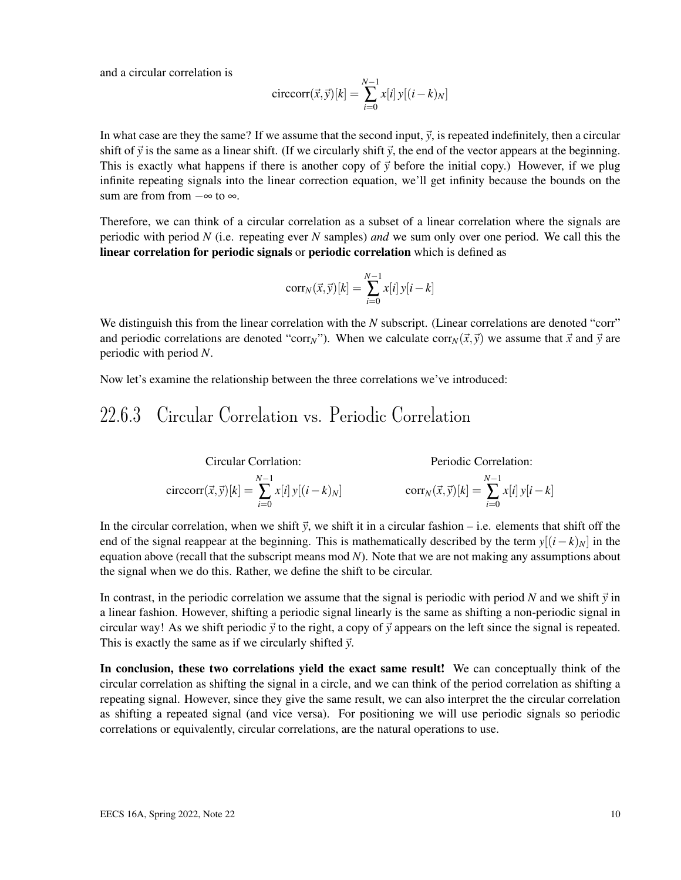and a circular correlation is

$$
\operatorname{circcorr}(\vec{x}, \vec{y})[k] = \sum_{i=0}^{N-1} x[i] y[(i-k)_N]
$$

In what case are they the same? If we assume that the second input,  $\vec{y}$ , is repeated indefinitely, then a circular shift of  $\vec{y}$  is the same as a linear shift. (If we circularly shift  $\vec{y}$ , the end of the vector appears at the beginning. This is exactly what happens if there is another copy of  $\vec{y}$  before the initial copy.) However, if we plug infinite repeating signals into the linear correction equation, we'll get infinity because the bounds on the sum are from from  $-\infty$  to  $\infty$ .

Therefore, we can think of a circular correlation as a subset of a linear correlation where the signals are periodic with period *N* (i.e. repeating ever *N* samples) *and* we sum only over one period. We call this the linear correlation for periodic signals or periodic correlation which is defined as

$$
corr_N(\vec{x}, \vec{y})[k] = \sum_{i=0}^{N-1} x[i] y[i-k]
$$

We distinguish this from the linear correlation with the *N* subscript. (Linear correlations are denoted "corr" and periodic correlations are denoted "corr<sub>N</sub>"). When we calculate corr<sub>N</sub>( $\vec{x}, \vec{y}$ ) we assume that  $\vec{x}$  and  $\vec{y}$  are periodic with period *N*.

Now let's examine the relationship between the three correlations we've introduced:

#### 22.6.3 Circular Correlation vs. Periodic Correlation

Circular Correlation:

\n
$$
\text{Circular Correlation:} \qquad \text{Periodic Correlation:}
$$
\n
$$
\text{circcorr}(\vec{x}, \vec{y})[k] = \sum_{i=0}^{N-1} x[i] y[(i-k)_N] \qquad \text{corr}_N(\vec{x}, \vec{y})[k] = \sum_{i=0}^{N-1} x[i] y[i-k]
$$

In the circular correlation, when we shift  $\vec{y}$ , we shift it in a circular fashion – i.e. elements that shift off the end of the signal reappear at the beginning. This is mathematically described by the term  $y[(i-k)_N]$  in the equation above (recall that the subscript means mod *N*). Note that we are not making any assumptions about the signal when we do this. Rather, we define the shift to be circular.

In contrast, in the periodic correlation we assume that the signal is periodic with period *N* and we shift  $\vec{y}$  in a linear fashion. However, shifting a periodic signal linearly is the same as shifting a non-periodic signal in circular way! As we shift periodic  $\vec{y}$  to the right, a copy of  $\vec{y}$  appears on the left since the signal is repeated. This is exactly the same as if we circularly shifted  $\vec{y}$ .

In conclusion, these two correlations yield the exact same result! We can conceptually think of the circular correlation as shifting the signal in a circle, and we can think of the period correlation as shifting a repeating signal. However, since they give the same result, we can also interpret the the circular correlation as shifting a repeated signal (and vice versa). For positioning we will use periodic signals so periodic correlations or equivalently, circular correlations, are the natural operations to use.